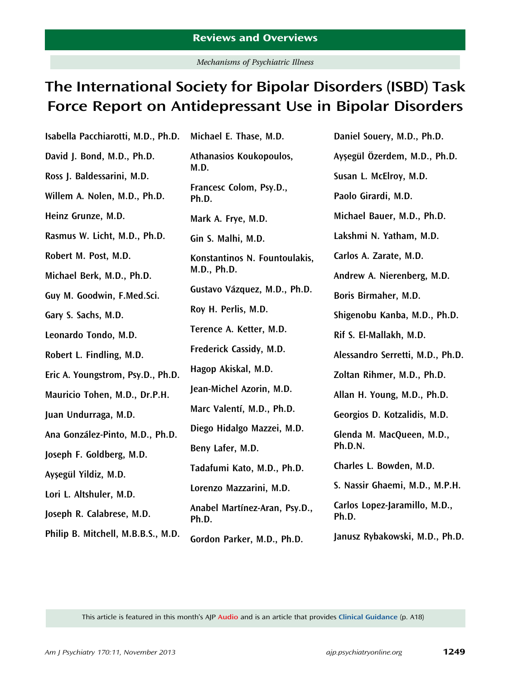Mechanisms of Psychiatric Illness

# The International Society for Bipolar Disorders (ISBD) Task Force Report on Antidepressant Use in Bipolar Disorders

| Isabella Pacchiarotti, M.D., Ph.D. | Michael E. Thase, M.D.                 | Daniel Souery, M.D., Ph.D.                                     |  |  |
|------------------------------------|----------------------------------------|----------------------------------------------------------------|--|--|
| David J. Bond, M.D., Ph.D.         | Athanasios Koukopoulos,                | Ayşegül Özerdem, M.D., Ph.D.                                   |  |  |
| Ross J. Baldessarini, M.D.         | M.D.                                   | Susan L. McElroy, M.D.                                         |  |  |
| Willem A. Nolen, M.D., Ph.D.       | Francesc Colom, Psy.D.,<br>Ph.D.       | Paolo Girardi, M.D.                                            |  |  |
| Heinz Grunze, M.D.                 | Mark A. Frye, M.D.                     | Michael Bauer, M.D., Ph.D.                                     |  |  |
| Rasmus W. Licht, M.D., Ph.D.       | Gin S. Malhi, M.D.                     | Lakshmi N. Yatham, M.D.                                        |  |  |
| Robert M. Post, M.D.               | Konstantinos N. Fountoulakis,          | Carlos A. Zarate, M.D.                                         |  |  |
| Michael Berk, M.D., Ph.D.          | M.D., Ph.D.                            | Andrew A. Nierenberg, M.D.                                     |  |  |
| Guy M. Goodwin, F.Med.Sci.         | Gustavo Vázquez, M.D., Ph.D.           | Boris Birmaher, M.D.                                           |  |  |
| Gary S. Sachs, M.D.                | Roy H. Perlis, M.D.                    | Shigenobu Kanba, M.D., Ph.D.                                   |  |  |
| Leonardo Tondo, M.D.               | Terence A. Ketter, M.D.                | Rif S. El-Mallakh, M.D.                                        |  |  |
| Robert L. Findling, M.D.           | Frederick Cassidy, M.D.                | Alessandro Serretti, M.D., Ph.D.<br>Zoltan Rihmer, M.D., Ph.D. |  |  |
| Eric A. Youngstrom, Psy.D., Ph.D.  | Hagop Akiskal, M.D.                    |                                                                |  |  |
| Mauricio Tohen, M.D., Dr.P.H.      | Jean-Michel Azorin, M.D.               | Allan H. Young, M.D., Ph.D.                                    |  |  |
| Juan Undurraga, M.D.               | Marc Valentí, M.D., Ph.D.              | Georgios D. Kotzalidis, M.D.                                   |  |  |
| Ana González-Pinto, M.D., Ph.D.    | Diego Hidalgo Mazzei, M.D.             | Glenda M. MacQueen, M.D.,                                      |  |  |
| Joseph F. Goldberg, M.D.           | Beny Lafer, M.D.                       | Ph.D.N.                                                        |  |  |
| Ayşegül Yildiz, M.D.               | Tadafumi Kato, M.D., Ph.D.             | Charles L. Bowden, M.D.                                        |  |  |
| Lori L. Altshuler, M.D.            | Lorenzo Mazzarini, M.D.                | S. Nassir Ghaemi, M.D., M.P.H.                                 |  |  |
| Joseph R. Calabrese, M.D.          | Anabel Martínez-Aran, Psy.D.,<br>Ph.D. | Carlos Lopez-Jaramillo, M.D.,<br>Ph.D.                         |  |  |
| Philip B. Mitchell, M.B.B.S., M.D. | Gordon Parker, M.D., Ph.D.             | Janusz Rybakowski, M.D., Ph.D.                                 |  |  |

This article is featured in this month's AJP Audio and is an article that provides Clinical Guidance (p. A18)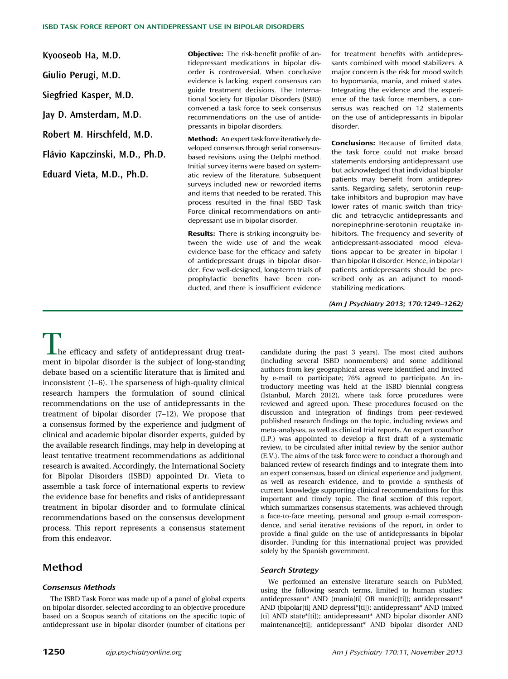Kyooseob Ha, M.D. Giulio Perugi, M.D. Siegfried Kasper, M.D. Jay D. Amsterdam, M.D. Robert M. Hirschfeld, M.D. Flávio Kapczinski, M.D., Ph.D.

Eduard Vieta, M.D., Ph.D.

Objective: The risk-benefit profile of antidepressant medications in bipolar disorder is controversial. When conclusive evidence is lacking, expert consensus can guide treatment decisions. The International Society for Bipolar Disorders (ISBD) convened a task force to seek consensus recommendations on the use of antidepressants in bipolar disorders.

Method: An expert task force iteratively developed consensus through serial consensusbased revisions using the Delphi method. Initial survey items were based on systematic review of the literature. Subsequent surveys included new or reworded items and items that needed to be rerated. This process resulted in the final ISBD Task Force clinical recommendations on antidepressant use in bipolar disorder.

Results: There is striking incongruity between the wide use of and the weak evidence base for the efficacy and safety of antidepressant drugs in bipolar disorder. Few well-designed, long-term trials of prophylactic benefits have been conducted, and there is insufficient evidence for treatment benefits with antidepressants combined with mood stabilizers. A major concern is the risk for mood switch to hypomania, mania, and mixed states. Integrating the evidence and the experience of the task force members, a consensus was reached on 12 statements on the use of antidepressants in bipolar disorder.

Conclusions: Because of limited data, the task force could not make broad statements endorsing antidepressant use but acknowledged that individual bipolar patients may benefit from antidepressants. Regarding safety, serotonin reuptake inhibitors and bupropion may have lower rates of manic switch than tricyclic and tetracyclic antidepressants and norepinephrine-serotonin reuptake inhibitors. The frequency and severity of antidepressant-associated mood elevations appear to be greater in bipolar I than bipolar II disorder. Hence, in bipolar I patients antidepressants should be prescribed only as an adjunct to moodstabilizing medications.

(Am J Psychiatry 2013; 170:1249–1262)

 $\mathsf{L}$ he efficacy and safety of antidepressant drug treatment in bipolar disorder is the subject of long-standing debate based on a scientific literature that is limited and inconsistent (1–6). The sparseness of high-quality clinical research hampers the formulation of sound clinical recommendations on the use of antidepressants in the treatment of bipolar disorder (7–12). We propose that a consensus formed by the experience and judgment of clinical and academic bipolar disorder experts, guided by the available research findings, may help in developing at least tentative treatment recommendations as additional research is awaited. Accordingly, the International Society for Bipolar Disorders (ISBD) appointed Dr. Vieta to assemble a task force of international experts to review the evidence base for benefits and risks of antidepressant treatment in bipolar disorder and to formulate clinical recommendations based on the consensus development process. This report represents a consensus statement from this endeavor.

## Method

#### Consensus Methods

The ISBD Task Force was made up of a panel of global experts on bipolar disorder, selected according to an objective procedure based on a Scopus search of citations on the specific topic of antidepressant use in bipolar disorder (number of citations per

candidate during the past 3 years). The most cited authors (including several ISBD nonmembers) and some additional authors from key geographical areas were identified and invited by e-mail to participate; 76% agreed to participate. An introductory meeting was held at the ISBD biennial congress (Istanbul, March 2012), where task force procedures were reviewed and agreed upon. These procedures focused on the discussion and integration of findings from peer-reviewed published research findings on the topic, including reviews and meta-analyses, as well as clinical trial reports. An expert coauthor (I.P.) was appointed to develop a first draft of a systematic review, to be circulated after initial review by the senior author (E.V.). The aims of the task force were to conduct a thorough and balanced review of research findings and to integrate them into an expert consensus, based on clinical experience and judgment, as well as research evidence, and to provide a synthesis of current knowledge supporting clinical recommendations for this important and timely topic. The final section of this report, which summarizes consensus statements, was achieved through a face-to-face meeting, personal and group e-mail correspondence, and serial iterative revisions of the report, in order to provide a final guide on the use of antidepressants in bipolar disorder. Funding for this international project was provided solely by the Spanish government.

#### Search Strategy

We performed an extensive literature search on PubMed, using the following search terms, limited to human studies: antidepressant\* AND (mania[ti] OR manic[ti]); antidepressant\* AND (bipolar[ti] AND depressi\*[ti]); antidepressant\* AND (mixed [ti] AND state\*[ti]); antidepressant\* AND bipolar disorder AND maintenance[ti]; antidepressant\* AND bipolar disorder AND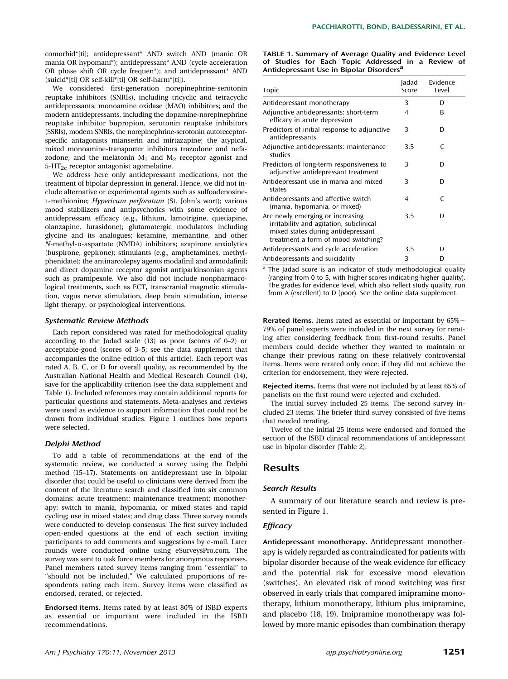comorbid\*[ti]; antidepressant\* AND switch AND (manic OR mania OR hypomani\*); antidepressant\* AND (cycle acceleration OR phase shift OR cycle frequen\*); and antidepressant\* AND (suicid\*[ti] OR self-kill\*[ti] OR self-harm\*[ti]).

We considered first-generation norepinephrine-serotonin reuptake inhibitors (SNRIs), including tricyclic and tetracyclic antidepressants; monoamine oxidase (MAO) inhibitors; and the modern antidepressants, including the dopamine-norepinephrine reuptake inhibitor bupropion, serotonin reuptake inhibitors (SSRIs), modern SNRIs, the norepinephrine-serotonin autoreceptorspecific antagonists mianserin and mirtazapine; the atypical, mixed monoamine-transporter inhibitors trazodone and nefazodone; and the melatonin  $M_1$  and  $M_2$  receptor agonist and  $5-HT_{2c}$  receptor antagonist agomelatine.

We address here only antidepressant medications, not the treatment of bipolar depression in general. Hence, we did not include alternative or experimental agents such as sulfoadenosinel-methionine; Hypericum perforatum (St. John's wort); various mood stabilizers and antipsychotics with some evidence of antidepressant efficacy (e.g., lithium, lamotrigine, quetiapine, olanzapine, lurasidone); glutamatergic modulators including glycine and its analogues; ketamine, memantine, and other N-methyl-D-aspartate (NMDA) inhibitors; azapirone anxiolytics (buspirone, gepirone); stimulants (e.g., amphetamines, methylphenidate); the antinarcolepsy agents modafinil and armodafinil; and direct dopamine receptor agonist antiparkinsonian agents such as pramipexole. We also did not include nonpharmacological treatments, such as ECT, transcranial magnetic stimulation, vagus nerve stimulation, deep brain stimulation, intense light therapy, or psychological interventions.

#### Systematic Review Methods

Each report considered was rated for methodological quality according to the Jadad scale (13) as poor (scores of 0–2) or acceptable-good (scores of 3–5; see the data supplement that accompanies the online edition of this article). Each report was rated A, B, C, or D for overall quality, as recommended by the Australian National Health and Medical Research Council (14), save for the applicability criterion (see the data supplement and Table 1). Included references may contain additional reports for particular questions and statements. Meta-analyses and reviews were used as evidence to support information that could not be drawn from individual studies. Figure 1 outlines how reports were selected.

#### Delphi Method

To add a table of recommendations at the end of the systematic review, we conducted a survey using the Delphi method (15–17). Statements on antidepressant use in bipolar disorder that could be useful to clinicians were derived from the content of the literature search and classified into six common domains: acute treatment; maintenance treatment; monotherapy; switch to mania, hypomania, or mixed states and rapid cycling; use in mixed states; and drug class. Three survey rounds were conducted to develop consensus. The first survey included open-ended questions at the end of each section inviting participants to add comments and suggestions by e-mail. Later rounds were conducted online using eSurveysPro.com. The survey was sent to task force members for anonymous responses. Panel members rated survey items ranging from "essential" to "should not be included." We calculated proportions of respondents rating each item. Survey items were classified as endorsed, rerated, or rejected.

Endorsed items. Items rated by at least 80% of ISBD experts as essential or important were included in the ISBD recommendations.

TABLE 1. Summary of Average Quality and Evidence Level of Studies for Each Topic Addressed in a Review of Antidepressant Use in Bipolar Disorders<sup>a</sup>

| <b>Topic</b>                                                                                                                                             | Jadad<br>Score | Evidence<br>Level |
|----------------------------------------------------------------------------------------------------------------------------------------------------------|----------------|-------------------|
| Antidepressant monotherapy                                                                                                                               | 3              | D                 |
| Adjunctive antidepressants: short-term<br>efficacy in acute depression                                                                                   | 4              | B                 |
| Predictors of initial response to adjunctive<br>antidepressants                                                                                          | 3              | D                 |
| Adjunctive antidepressants: maintenance<br>studies                                                                                                       | 3.5            | C                 |
| Predictors of long-term responsiveness to<br>adjunctive antidepressant treatment                                                                         | 3              | D                 |
| Antidepressant use in mania and mixed<br>states                                                                                                          | 3              | D                 |
| Antidepressants and affective switch<br>(mania, hypomania, or mixed)                                                                                     | 4              | C                 |
| Are newly emerging or increasing<br>irritability and agitation, subclinical<br>mixed states during antidepressant<br>treatment a form of mood switching? | 3.5            | D                 |
| Antidepressants and cycle acceleration                                                                                                                   | 3.5            | D                 |
| Antidepressants and suicidality                                                                                                                          | 3              | D                 |

 $a$  The Jadad score is an indicator of study methodological quality (ranging from 0 to 5, with higher scores indicating higher quality). The grades for evidence level, which also reflect study quality, run from A (excellent) to D (poor). See the online data supplement.

Rerated items. Items rated as essential or important by  $65\%$  -79% of panel experts were included in the next survey for rerating after considering feedback from first-round results. Panel members could decide whether they wanted to maintain or change their previous rating on these relatively controversial items. Items were rerated only once; if they did not achieve the criterion for endorsement, they were rejected.

Rejected items. Items that were not included by at least 65% of panelists on the first round were rejected and excluded.

The initial survey included 25 items. The second survey included 23 items. The briefer third survey consisted of five items that needed rerating.

Twelve of the initial 25 items were endorsed and formed the section of the ISBD clinical recommendations of antidepressant use in bipolar disorder (Table 2).

## Results

#### Search Results

A summary of our literature search and review is presented in Figure 1.

### **Efficacy**

Antidepressant monotherapy. Antidepressant monotherapy is widely regarded as contraindicated for patients with bipolar disorder because of the weak evidence for efficacy and the potential risk for excessive mood elevation (switches). An elevated risk of mood switching was first observed in early trials that compared imipramine monotherapy, lithium monotherapy, lithium plus imipramine, and placebo (18, 19). Imipramine monotherapy was followed by more manic episodes than combination therapy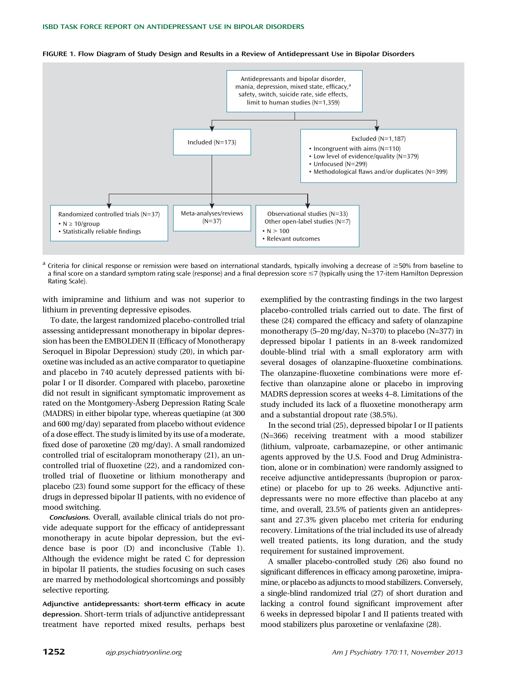



 $a$  Criteria for clinical response or remission were based on international standards, typically involving a decrease of  $\geq$ 50% from baseline to a final score on a standard symptom rating scale (response) and a final depression score  $\leq$  7 (typically using the 17-item Hamilton Depression Rating Scale).

with imipramine and lithium and was not superior to lithium in preventing depressive episodes.

To date, the largest randomized placebo-controlled trial assessing antidepressant monotherapy in bipolar depression has been the EMBOLDEN II (Efficacy of Monotherapy Seroquel in Bipolar Depression) study (20), in which paroxetine was included as an active comparator to quetiapine and placebo in 740 acutely depressed patients with bipolar I or II disorder. Compared with placebo, paroxetine did not result in significant symptomatic improvement as rated on the Montgomery-Åsberg Depression Rating Scale (MADRS) in either bipolar type, whereas quetiapine (at 300 and 600 mg/day) separated from placebo without evidence of a dose effect. The study is limited by its use of a moderate, fixed dose of paroxetine (20 mg/day). A small randomized controlled trial of escitalopram monotherapy (21), an uncontrolled trial of fluoxetine (22), and a randomized controlled trial of fluoxetine or lithium monotherapy and placebo (23) found some support for the efficacy of these drugs in depressed bipolar II patients, with no evidence of mood switching.

Conclusions. Overall, available clinical trials do not provide adequate support for the efficacy of antidepressant monotherapy in acute bipolar depression, but the evidence base is poor (D) and inconclusive (Table 1). Although the evidence might be rated C for depression in bipolar II patients, the studies focusing on such cases are marred by methodological shortcomings and possibly selective reporting.

Adjunctive antidepressants: short-term efficacy in acute depression. Short-term trials of adjunctive antidepressant treatment have reported mixed results, perhaps best exemplified by the contrasting findings in the two largest placebo-controlled trials carried out to date. The first of these (24) compared the efficacy and safety of olanzapine monotherapy (5–20 mg/day, N=370) to placebo (N=377) in depressed bipolar I patients in an 8-week randomized double-blind trial with a small exploratory arm with several dosages of olanzapine-fluoxetine combinations. The olanzapine-fluoxetine combinations were more effective than olanzapine alone or placebo in improving MADRS depression scores at weeks 4–8. Limitations of the study included its lack of a fluoxetine monotherapy arm and a substantial dropout rate (38.5%).

In the second trial (25), depressed bipolar I or II patients (N=366) receiving treatment with a mood stabilizer (lithium, valproate, carbamazepine, or other antimanic agents approved by the U.S. Food and Drug Administration, alone or in combination) were randomly assigned to receive adjunctive antidepressants (bupropion or paroxetine) or placebo for up to 26 weeks. Adjunctive antidepressants were no more effective than placebo at any time, and overall, 23.5% of patients given an antidepressant and 27.3% given placebo met criteria for enduring recovery. Limitations of the trial included its use of already well treated patients, its long duration, and the study requirement for sustained improvement.

A smaller placebo-controlled study (26) also found no significant differences in efficacy among paroxetine, imipramine, or placebo as adjuncts to mood stabilizers. Conversely, a single-blind randomized trial (27) of short duration and lacking a control found significant improvement after 6 weeks in depressed bipolar I and II patients treated with mood stabilizers plus paroxetine or venlafaxine (28).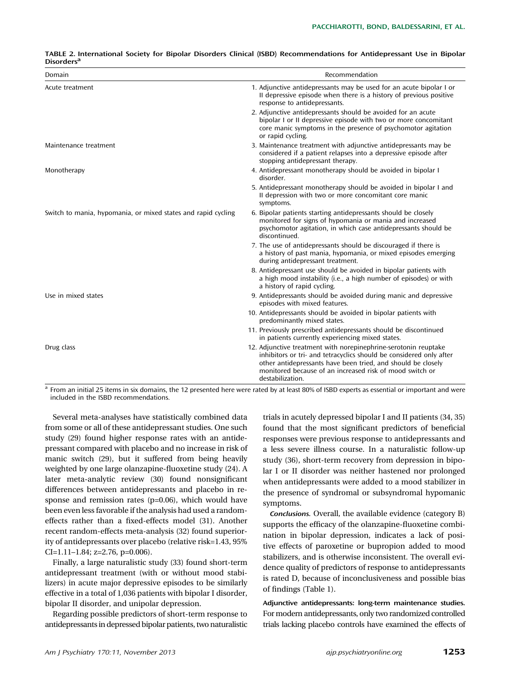|                        |  | TABLE 2. International Society for Bipolar Disorders Clinical (ISBD) Recommendations for Antidepressant Use in Bipolar |  |  |
|------------------------|--|------------------------------------------------------------------------------------------------------------------------|--|--|
| Disorders <sup>a</sup> |  |                                                                                                                        |  |  |

| Domain                                                        | Recommendation                                                                                                                                                                                                                                                                         |
|---------------------------------------------------------------|----------------------------------------------------------------------------------------------------------------------------------------------------------------------------------------------------------------------------------------------------------------------------------------|
| Acute treatment                                               | 1. Adjunctive antidepressants may be used for an acute bipolar I or<br>If depressive episode when there is a history of previous positive<br>response to antidepressants.                                                                                                              |
|                                                               | 2. Adjunctive antidepressants should be avoided for an acute<br>bipolar I or II depressive episode with two or more concomitant<br>core manic symptoms in the presence of psychomotor agitation<br>or rapid cycling.                                                                   |
| Maintenance treatment                                         | 3. Maintenance treatment with adjunctive antidepressants may be<br>considered if a patient relapses into a depressive episode after<br>stopping antidepressant therapy.                                                                                                                |
| Monotherapy                                                   | 4. Antidepressant monotherapy should be avoided in bipolar I<br>disorder.                                                                                                                                                                                                              |
|                                                               | 5. Antidepressant monotherapy should be avoided in bipolar I and<br>II depression with two or more concomitant core manic<br>symptoms.                                                                                                                                                 |
| Switch to mania, hypomania, or mixed states and rapid cycling | 6. Bipolar patients starting antidepressants should be closely<br>monitored for signs of hypomania or mania and increased<br>psychomotor agitation, in which case antidepressants should be<br>discontinued.                                                                           |
|                                                               | 7. The use of antidepressants should be discouraged if there is<br>a history of past mania, hypomania, or mixed episodes emerging<br>during antidepressant treatment.                                                                                                                  |
|                                                               | 8. Antidepressant use should be avoided in bipolar patients with<br>a high mood instability (i.e., a high number of episodes) or with<br>a history of rapid cycling.                                                                                                                   |
| Use in mixed states                                           | 9. Antidepressants should be avoided during manic and depressive<br>episodes with mixed features.                                                                                                                                                                                      |
|                                                               | 10. Antidepressants should be avoided in bipolar patients with<br>predominantly mixed states.                                                                                                                                                                                          |
|                                                               | 11. Previously prescribed antidepressants should be discontinued<br>in patients currently experiencing mixed states.                                                                                                                                                                   |
| Drug class                                                    | 12. Adjunctive treatment with norepinephrine-serotonin reuptake<br>inhibitors or tri- and tetracyclics should be considered only after<br>other antidepressants have been tried, and should be closely<br>monitored because of an increased risk of mood switch or<br>destabilization. |

<sup>a</sup> From an initial 25 items in six domains, the 12 presented here were rated by at least 80% of ISBD experts as essential or important and were included in the ISBD recommendations.

Several meta-analyses have statistically combined data from some or all of these antidepressant studies. One such study (29) found higher response rates with an antidepressant compared with placebo and no increase in risk of manic switch (29), but it suffered from being heavily weighted by one large olanzapine-fluoxetine study (24). A later meta-analytic review (30) found nonsignificant differences between antidepressants and placebo in response and remission rates (p=0.06), which would have been even less favorable if the analysis had used a randomeffects rather than a fixed-effects model (31). Another recent random-effects meta-analysis (32) found superiority of antidepressants over placebo (relative risk=1.43, 95% CI=1.11–1.84; z=2.76, p=0.006).

Finally, a large naturalistic study (33) found short-term antidepressant treatment (with or without mood stabilizers) in acute major depressive episodes to be similarly effective in a total of 1,036 patients with bipolar I disorder, bipolar II disorder, and unipolar depression.

Regarding possible predictors of short-term response to antidepressants in depressed bipolar patients, two naturalistic trials in acutely depressed bipolar I and II patients (34, 35) found that the most significant predictors of beneficial responses were previous response to antidepressants and a less severe illness course. In a naturalistic follow-up study (36), short-term recovery from depression in bipolar I or II disorder was neither hastened nor prolonged when antidepressants were added to a mood stabilizer in the presence of syndromal or subsyndromal hypomanic symptoms.

Conclusions. Overall, the available evidence (category B) supports the efficacy of the olanzapine-fluoxetine combination in bipolar depression, indicates a lack of positive effects of paroxetine or bupropion added to mood stabilizers, and is otherwise inconsistent. The overall evidence quality of predictors of response to antidepressants is rated D, because of inconclusiveness and possible bias of findings (Table 1).

Adjunctive antidepressants: long-term maintenance studies. For modern antidepressants, only two randomized controlled trials lacking placebo controls have examined the effects of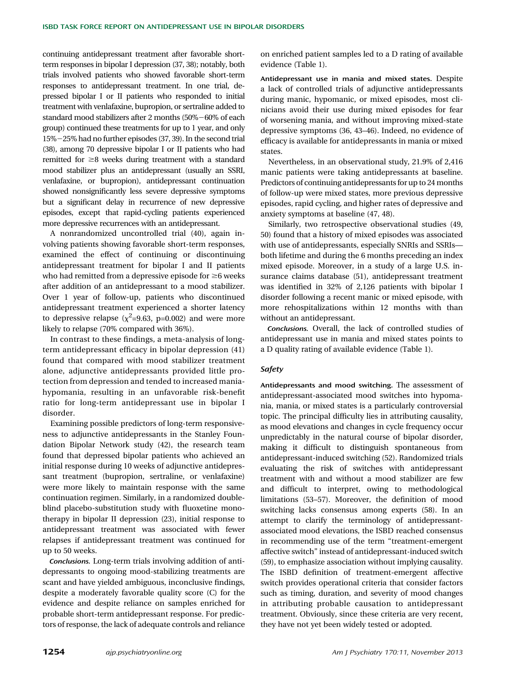continuing antidepressant treatment after favorable shortterm responses in bipolar I depression (37, 38); notably, both trials involved patients who showed favorable short-term responses to antidepressant treatment. In one trial, depressed bipolar I or II patients who responded to initial treatment with venlafaxine, bupropion, or sertraline added to standard mood stabilizers after 2 months (50%-60% of each group) continued these treatments for up to 1 year, and only 15%225% had no further episodes (37, 39). In the second trial (38), among 70 depressive bipolar I or II patients who had remitted for  $\geq 8$  weeks during treatment with a standard mood stabilizer plus an antidepressant (usually an SSRI, venlafaxine, or bupropion), antidepressant continuation showed nonsignificantly less severe depressive symptoms but a significant delay in recurrence of new depressive episodes, except that rapid-cycling patients experienced more depressive recurrences with an antidepressant.

A nonrandomized uncontrolled trial (40), again involving patients showing favorable short-term responses, examined the effect of continuing or discontinuing antidepressant treatment for bipolar I and II patients who had remitted from a depressive episode for  $\geq 6$  weeks after addition of an antidepressant to a mood stabilizer. Over 1 year of follow-up, patients who discontinued antidepressant treatment experienced a shorter latency to depressive relapse ( $\chi^2$ =9.63, p=0.002) and were more likely to relapse (70% compared with 36%).

In contrast to these findings, a meta-analysis of longterm antidepressant efficacy in bipolar depression (41) found that compared with mood stabilizer treatment alone, adjunctive antidepressants provided little protection from depression and tended to increased maniahypomania, resulting in an unfavorable risk-benefit ratio for long-term antidepressant use in bipolar I disorder.

Examining possible predictors of long-term responsiveness to adjunctive antidepressants in the Stanley Foundation Bipolar Network study (42), the research team found that depressed bipolar patients who achieved an initial response during 10 weeks of adjunctive antidepressant treatment (bupropion, sertraline, or venlafaxine) were more likely to maintain response with the same continuation regimen. Similarly, in a randomized doubleblind placebo-substitution study with fluoxetine monotherapy in bipolar II depression (23), initial response to antidepressant treatment was associated with fewer relapses if antidepressant treatment was continued for up to 50 weeks.

Conclusions. Long-term trials involving addition of antidepressants to ongoing mood-stabilizing treatments are scant and have yielded ambiguous, inconclusive findings, despite a moderately favorable quality score (C) for the evidence and despite reliance on samples enriched for probable short-term antidepressant response. For predictors of response, the lack of adequate controls and reliance

on enriched patient samples led to a D rating of available evidence (Table 1).

Antidepressant use in mania and mixed states. Despite a lack of controlled trials of adjunctive antidepressants during manic, hypomanic, or mixed episodes, most clinicians avoid their use during mixed episodes for fear of worsening mania, and without improving mixed-state depressive symptoms (36, 43–46). Indeed, no evidence of efficacy is available for antidepressants in mania or mixed states.

Nevertheless, in an observational study, 21.9% of 2,416 manic patients were taking antidepressants at baseline. Predictors of continuing antidepressants for up to 24 months of follow-up were mixed states, more previous depressive episodes, rapid cycling, and higher rates of depressive and anxiety symptoms at baseline (47, 48).

Similarly, two retrospective observational studies (49, 50) found that a history of mixed episodes was associated with use of antidepressants, especially SNRIs and SSRIs both lifetime and during the 6 months preceding an index mixed episode. Moreover, in a study of a large U.S. insurance claims database (51), antidepressant treatment was identified in 32% of 2,126 patients with bipolar I disorder following a recent manic or mixed episode, with more rehospitalizations within 12 months with than without an antidepressant.

Conclusions. Overall, the lack of controlled studies of antidepressant use in mania and mixed states points to a D quality rating of available evidence (Table 1).

## **Safety**

Antidepressants and mood switching. The assessment of antidepressant-associated mood switches into hypomania, mania, or mixed states is a particularly controversial topic. The principal difficulty lies in attributing causality, as mood elevations and changes in cycle frequency occur unpredictably in the natural course of bipolar disorder, making it difficult to distinguish spontaneous from antidepressant-induced switching (52). Randomized trials evaluating the risk of switches with antidepressant treatment with and without a mood stabilizer are few and difficult to interpret, owing to methodological limitations (53–57). Moreover, the definition of mood switching lacks consensus among experts (58). In an attempt to clarify the terminology of antidepressantassociated mood elevations, the ISBD reached consensus in recommending use of the term "treatment-emergent affective switch" instead of antidepressant-induced switch (59), to emphasize association without implying causality. The ISBD definition of treatment-emergent affective switch provides operational criteria that consider factors such as timing, duration, and severity of mood changes in attributing probable causation to antidepressant treatment. Obviously, since these criteria are very recent, they have not yet been widely tested or adopted.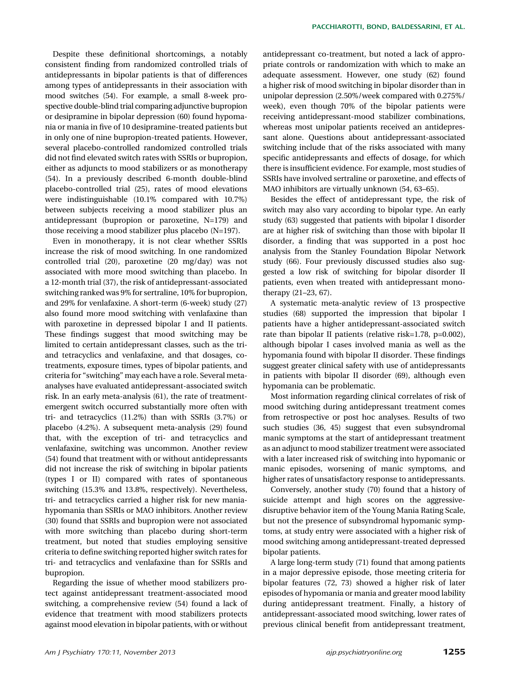Despite these definitional shortcomings, a notably consistent finding from randomized controlled trials of antidepressants in bipolar patients is that of differences among types of antidepressants in their association with mood switches (54). For example, a small 8-week prospective double-blind trial comparing adjunctive bupropion or desipramine in bipolar depression (60) found hypomania or mania in five of 10 desipramine-treated patients but in only one of nine bupropion-treated patients. However, several placebo-controlled randomized controlled trials did not find elevated switch rates with SSRIs or bupropion, either as adjuncts to mood stabilizers or as monotherapy (54). In a previously described 6-month double-blind placebo-controlled trial (25), rates of mood elevations were indistinguishable (10.1% compared with 10.7%) between subjects receiving a mood stabilizer plus an antidepressant (bupropion or paroxetine, N=179) and those receiving a mood stabilizer plus placebo (N=197).

Even in monotherapy, it is not clear whether SSRIs increase the risk of mood switching. In one randomized controlled trial (20), paroxetine (20 mg/day) was not associated with more mood switching than placebo. In a 12-month trial (37), the risk of antidepressant-associated switching ranked was 9% for sertraline, 10% for bupropion, and 29% for venlafaxine. A short-term (6-week) study (27) also found more mood switching with venlafaxine than with paroxetine in depressed bipolar I and II patients. These findings suggest that mood switching may be limited to certain antidepressant classes, such as the triand tetracyclics and venlafaxine, and that dosages, cotreatments, exposure times, types of bipolar patients, and criteria for "switching" may each have a role. Several metaanalyses have evaluated antidepressant-associated switch risk. In an early meta-analysis (61), the rate of treatmentemergent switch occurred substantially more often with tri- and tetracyclics (11.2%) than with SSRIs (3.7%) or placebo (4.2%). A subsequent meta-analysis (29) found that, with the exception of tri- and tetracyclics and venlafaxine, switching was uncommon. Another review (54) found that treatment with or without antidepressants did not increase the risk of switching in bipolar patients (types I or II) compared with rates of spontaneous switching (15.3% and 13.8%, respectively). Nevertheless, tri- and tetracyclics carried a higher risk for new maniahypomania than SSRIs or MAO inhibitors. Another review (30) found that SSRIs and bupropion were not associated with more switching than placebo during short-term treatment, but noted that studies employing sensitive criteria to define switching reported higher switch rates for tri- and tetracyclics and venlafaxine than for SSRIs and bupropion.

Regarding the issue of whether mood stabilizers protect against antidepressant treatment-associated mood switching, a comprehensive review (54) found a lack of evidence that treatment with mood stabilizers protects against mood elevation in bipolar patients, with or without antidepressant co-treatment, but noted a lack of appropriate controls or randomization with which to make an adequate assessment. However, one study (62) found a higher risk of mood switching in bipolar disorder than in unipolar depression (2.50%/week compared with 0.275%/ week), even though 70% of the bipolar patients were receiving antidepressant-mood stabilizer combinations, whereas most unipolar patients received an antidepressant alone. Questions about antidepressant-associated switching include that of the risks associated with many specific antidepressants and effects of dosage, for which there is insufficient evidence. For example, most studies of SSRIs have involved sertraline or paroxetine, and effects of MAO inhibitors are virtually unknown (54, 63–65).

Besides the effect of antidepressant type, the risk of switch may also vary according to bipolar type. An early study (63) suggested that patients with bipolar I disorder are at higher risk of switching than those with bipolar II disorder, a finding that was supported in a post hoc analysis from the Stanley Foundation Bipolar Network study (66). Four previously discussed studies also suggested a low risk of switching for bipolar disorder II patients, even when treated with antidepressant monotherapy (21–23, 67).

A systematic meta-analytic review of 13 prospective studies (68) supported the impression that bipolar I patients have a higher antidepressant-associated switch rate than bipolar II patients (relative risk=1.78, p=0.002), although bipolar I cases involved mania as well as the hypomania found with bipolar II disorder. These findings suggest greater clinical safety with use of antidepressants in patients with bipolar II disorder (69), although even hypomania can be problematic.

Most information regarding clinical correlates of risk of mood switching during antidepressant treatment comes from retrospective or post hoc analyses. Results of two such studies (36, 45) suggest that even subsyndromal manic symptoms at the start of antidepressant treatment as an adjunct to mood stabilizer treatment were associated with a later increased risk of switching into hypomanic or manic episodes, worsening of manic symptoms, and higher rates of unsatisfactory response to antidepressants.

Conversely, another study (70) found that a history of suicide attempt and high scores on the aggressivedisruptive behavior item of the Young Mania Rating Scale, but not the presence of subsyndromal hypomanic symptoms, at study entry were associated with a higher risk of mood switching among antidepressant-treated depressed bipolar patients.

A large long-term study (71) found that among patients in a major depressive episode, those meeting criteria for bipolar features (72, 73) showed a higher risk of later episodes of hypomania or mania and greater mood lability during antidepressant treatment. Finally, a history of antidepressant-associated mood switching, lower rates of previous clinical benefit from antidepressant treatment,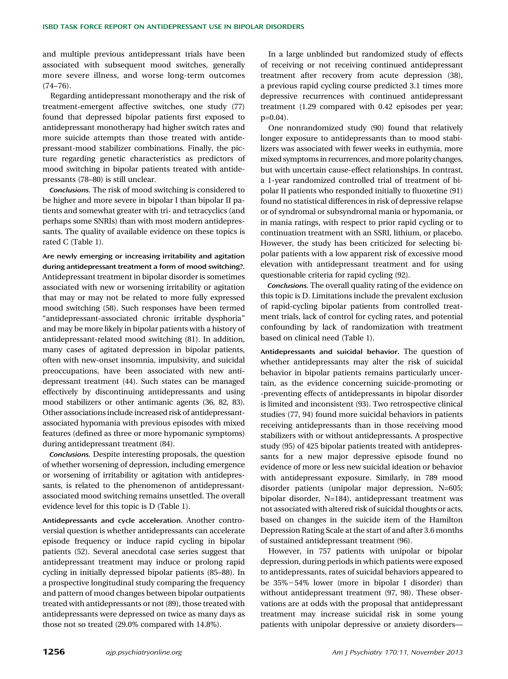and multiple previous antidepressant trials have been associated with subsequent mood switches, generally more severe illness, and worse long-term outcomes  $(74–76)$ .

Regarding antidepressant monotherapy and the risk of treatment-emergent affective switches, one study (77) found that depressed bipolar patients first exposed to antidepressant monotherapy had higher switch rates and more suicide attempts than those treated with antidepressant-mood stabilizer combinations. Finally, the picture regarding genetic characteristics as predictors of mood switching in bipolar patients treated with antidepressants (78–80) is still unclear.

Conclusions. The risk of mood switching is considered to be higher and more severe in bipolar I than bipolar II patients and somewhat greater with tri- and tetracyclics (and perhaps some SNRIs) than with most modern antidepressants. The quality of available evidence on these topics is rated C (Table 1).

Are newly emerging or increasing irritability and agitation during antidepressant treatment a form of mood switching?. Antidepressant treatment in bipolar disorder is sometimes associated with new or worsening irritability or agitation that may or may not be related to more fully expressed mood switching (58). Such responses have been termed "antidepressant-associated chronic irritable dysphoria" and may be more likely in bipolar patients with a history of antidepressant-related mood switching (81). In addition, many cases of agitated depression in bipolar patients, often with new-onset insomnia, impulsivity, and suicidal preoccupations, have been associated with new antidepressant treatment (44). Such states can be managed effectively by discontinuing antidepressants and using mood stabilizers or other antimanic agents (36, 82, 83). Other associations include increased risk of antidepressantassociated hypomania with previous episodes with mixed features (defined as three or more hypomanic symptoms) during antidepressant treatment (84).

Conclusions. Despite interesting proposals, the question of whether worsening of depression, including emergence or worsening of irritability or agitation with antidepressants, is related to the phenomenon of antidepressantassociated mood switching remains unsettled. The overall evidence level for this topic is D (Table 1).

Antidepressants and cycle acceleration. Another controversial question is whether antidepressants can accelerate episode frequency or induce rapid cycling in bipolar patients (52). Several anecdotal case series suggest that antidepressant treatment may induce or prolong rapid cycling in initially depressed bipolar patients (85–88). In a prospective longitudinal study comparing the frequency and pattern of mood changes between bipolar outpatients treated with antidepressants or not (89), those treated with antidepressants were depressed on twice as many days as those not so treated (29.0% compared with 14.8%).

In a large unblinded but randomized study of effects of receiving or not receiving continued antidepressant treatment after recovery from acute depression (38), a previous rapid cycling course predicted 3.1 times more depressive recurrences with continued antidepressant treatment (1.29 compared with 0.42 episodes per year; p=0.04).

One nonrandomized study (90) found that relatively longer exposure to antidepressants than to mood stabilizers was associated with fewer weeks in euthymia, more mixed symptoms in recurrences, and more polarity changes, but with uncertain cause-effect relationships. In contrast, a 1-year randomized controlled trial of treatment of bipolar II patients who responded initially to fluoxetine (91) found no statistical differences in risk of depressive relapse or of syndromal or subsyndromal mania or hypomania, or in mania ratings, with respect to prior rapid cycling or to continuation treatment with an SSRI, lithium, or placebo. However, the study has been criticized for selecting bipolar patients with a low apparent risk of excessive mood elevation with antidepressant treatment and for using questionable criteria for rapid cycling (92).

Conclusions. The overall quality rating of the evidence on this topic is D. Limitations include the prevalent exclusion of rapid-cycling bipolar patients from controlled treatment trials, lack of control for cycling rates, and potential confounding by lack of randomization with treatment based on clinical need (Table 1).

Antidepressants and suicidal behavior. The question of whether antidepressants may alter the risk of suicidal behavior in bipolar patients remains particularly uncertain, as the evidence concerning suicide-promoting or -preventing effects of antidepressants in bipolar disorder is limited and inconsistent (93). Two retrospective clinical studies (77, 94) found more suicidal behaviors in patients receiving antidepressants than in those receiving mood stabilizers with or without antidepressants. A prospective study (95) of 425 bipolar patients treated with antidepressants for a new major depressive episode found no evidence of more or less new suicidal ideation or behavior with antidepressant exposure. Similarly, in 789 mood disorder patients (unipolar major depression, N=605; bipolar disorder, N=184), antidepressant treatment was not associated with altered risk of suicidal thoughts or acts, based on changes in the suicide item of the Hamilton Depression Rating Scale at the start of and after 3.6 months of sustained antidepressant treatment (96).

However, in 757 patients with unipolar or bipolar depression, during periods in which patients were exposed to antidepressants, rates of suicidal behaviors appeared to be 35%-54% lower (more in bipolar I disorder) than without antidepressant treatment (97, 98). These observations are at odds with the proposal that antidepressant treatment may increase suicidal risk in some young patients with unipolar depressive or anxiety disorders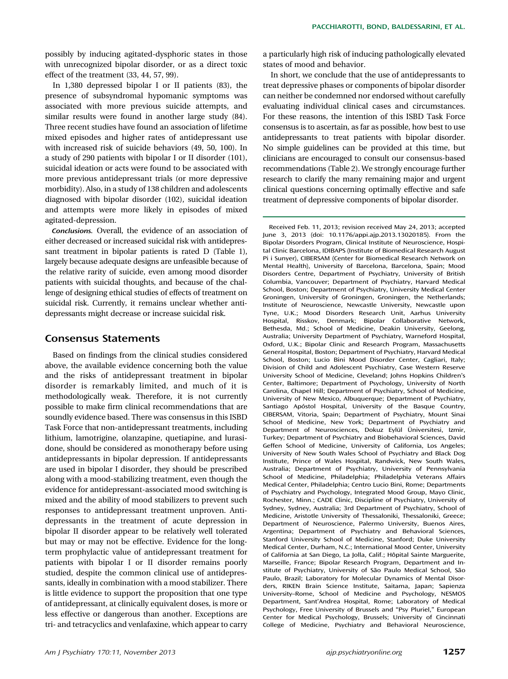possibly by inducing agitated-dysphoric states in those with unrecognized bipolar disorder, or as a direct toxic effect of the treatment (33, 44, 57, 99).

In 1,380 depressed bipolar I or II patients (83), the presence of subsyndromal hypomanic symptoms was associated with more previous suicide attempts, and similar results were found in another large study (84). Three recent studies have found an association of lifetime mixed episodes and higher rates of antidepressant use with increased risk of suicide behaviors (49, 50, 100). In a study of 290 patients with bipolar I or II disorder (101), suicidal ideation or acts were found to be associated with more previous antidepressant trials (or more depressive morbidity). Also, in a study of 138 children and adolescents diagnosed with bipolar disorder (102), suicidal ideation and attempts were more likely in episodes of mixed agitated-depression.

Conclusions. Overall, the evidence of an association of either decreased or increased suicidal risk with antidepressant treatment in bipolar patients is rated D (Table 1), largely because adequate designs are unfeasible because of the relative rarity of suicide, even among mood disorder patients with suicidal thoughts, and because of the challenge of designing ethical studies of effects of treatment on suicidal risk. Currently, it remains unclear whether antidepressants might decrease or increase suicidal risk.

## Consensus Statements

Based on findings from the clinical studies considered above, the available evidence concerning both the value and the risks of antidepressant treatment in bipolar disorder is remarkably limited, and much of it is methodologically weak. Therefore, it is not currently possible to make firm clinical recommendations that are soundly evidence based. There was consensus in this ISBD Task Force that non-antidepressant treatments, including lithium, lamotrigine, olanzapine, quetiapine, and lurasidone, should be considered as monotherapy before using antidepressants in bipolar depression. If antidepressants are used in bipolar I disorder, they should be prescribed along with a mood-stabilizing treatment, even though the evidence for antidepressant-associated mood switching is mixed and the ability of mood stabilizers to prevent such responses to antidepressant treatment unproven. Antidepressants in the treatment of acute depression in bipolar II disorder appear to be relatively well tolerated but may or may not be effective. Evidence for the longterm prophylactic value of antidepressant treatment for patients with bipolar I or II disorder remains poorly studied, despite the common clinical use of antidepressants, ideally in combination with a mood stabilizer. There is little evidence to support the proposition that one type of antidepressant, at clinically equivalent doses, is more or less effective or dangerous than another. Exceptions are tri- and tetracyclics and venlafaxine, which appear to carry a particularly high risk of inducing pathologically elevated states of mood and behavior.

In short, we conclude that the use of antidepressants to treat depressive phases or components of bipolar disorder can neither be condemned nor endorsed without carefully evaluating individual clinical cases and circumstances. For these reasons, the intention of this ISBD Task Force consensus is to ascertain, as far as possible, how best to use antidepressants to treat patients with bipolar disorder. No simple guidelines can be provided at this time, but clinicians are encouraged to consult our consensus-based recommendations (Table 2). We strongly encourage further research to clarify the many remaining major and urgent clinical questions concerning optimally effective and safe treatment of depressive components of bipolar disorder.

Received Feb. 11, 2013; revision received May 24, 2013; accepted June 3, 2013 (doi: 10.1176/appi.ajp.2013.13020185). From the Bipolar Disorders Program, Clinical Institute of Neuroscience, Hospital Clinic Barcelona, IDIBAPS (Institute of Biomedical Research August Pi i Sunyer), CIBERSAM (Center for Biomedical Research Network on Mental Health), University of Barcelona, Barcelona, Spain; Mood Disorders Centre, Department of Psychiatry, University of British Columbia, Vancouver; Department of Psychiatry, Harvard Medical School, Boston; Department of Psychiatry, University Medical Center Groningen, University of Groningen, Groningen, the Netherlands; Institute of Neuroscience, Newcastle University, Newcastle upon Tyne, U.K.; Mood Disorders Research Unit, Aarhus University Hospital, Risskov, Denmark; Bipolar Collaborative Network, Bethesda, Md.; School of Medicine, Deakin University, Geelong, Australia; University Department of Psychiatry, Warneford Hospital, Oxford, U.K.; Bipolar Clinic and Research Program, Massachusetts General Hospital, Boston; Department of Psychiatry, Harvard Medical School, Boston; Lucio Bini Mood Disorder Center, Cagliari, Italy; Division of Child and Adolescent Psychiatry, Case Western Reserve University School of Medicine, Cleveland; Johns Hopkins Children's Center, Baltimore; Department of Psychology, University of North Carolina, Chapel Hill; Department of Psychiatry, School of Medicine, University of New Mexico, Albuquerque; Department of Psychiatry, Santiago Apóstol Hospital, University of the Basque Country, CIBERSAM, Vitoria, Spain; Department of Psychiatry, Mount Sinai School of Medicine, New York; Department of Psychiatry and Department of Neurosciences, Dokuz Eylül Üniversitesi, Izmir, Turkey; Department of Psychiatry and Biobehavioral Sciences, David Geffen School of Medicine, University of California, Los Angeles; University of New South Wales School of Psychiatry and Black Dog Institute, Prince of Wales Hospital, Randwick, New South Wales, Australia; Department of Psychiatry, University of Pennsylvania School of Medicine, Philadelphia; Philadelphia Veterans Affairs Medical Center, Philadelphia; Centro Lucio Bini, Rome; Departments of Psychiatry and Psychology, Integrated Mood Group, Mayo Clinic, Rochester, Minn.; CADE Clinic, Discipline of Psychiatry, University of Sydney, Sydney, Australia; 3rd Department of Psychiatry, School of Medicine, Aristotle University of Thessaloniki, Thessaloniki, Greece; Department of Neuroscience, Palermo University, Buenos Aires, Argentina; Department of Psychiatry and Behavioral Sciences, Stanford University School of Medicine, Stanford; Duke University Medical Center, Durham, N.C.; International Mood Center, University of California at San Diego, La Jolla, Calif.; Hôpital Sainte Marguerite, Marseille, France; Bipolar Research Program, Department and Institute of Psychiatry, University of São Paulo Medical School, São Paulo, Brazil; Laboratory for Molecular Dynamics of Mental Disorders, RIKEN Brain Science Institute, Saitama, Japan; Sapienza University–Rome, School of Medicine and Psychology, NESMOS Department, Sant'Andrea Hospital, Rome; Laboratory of Medical Psychology, Free University of Brussels and "Psy Pluriel," European Center for Medical Psychology, Brussels; University of Cincinnati College of Medicine, Psychiatry and Behavioral Neuroscience,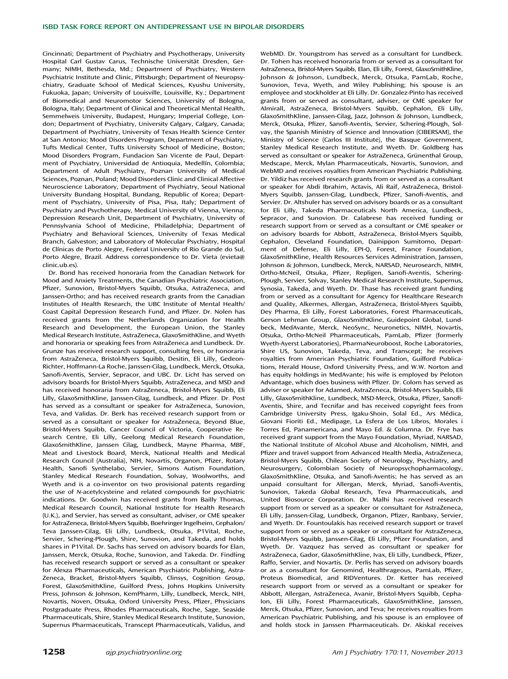Cincinnati; Department of Psychiatry and Psychotherapy, University Hospital Carl Gustav Carus, Technische Universität Dresden, Germany; NIMH, Bethesda, Md.; Department of Psychiatry, Western Psychiatric Institute and Clinic, Pittsburgh; Department of Neuropsychiatry, Graduate School of Medical Sciences, Kyushu University, Fukuoka, Japan; University of Louisville, Louisville, Ky.; Department of Biomedical and Neuromotor Sciences, University of Bologna, Bologna, Italy; Department of Clinical and Theoretical Mental Health, Semmelweis University, Budapest, Hungary; Imperial College, London; Department of Psychiatry, University Calgary, Calgary, Canada; Department of Psychiatry, University of Texas Health Science Center at San Antonio; Mood Disorders Program, Department of Psychiatry, Tufts Medical Center, Tufts University School of Medicine, Boston; Mood Disorders Program, Fundacion San Vicente de Paul, Department of Psychiatry, Universidad de Antioquia, Medellín, Colombia; Department of Adult Psychiatry, Poznan University of Medical Sciences, Poznan, Poland; Mood Disorders Clinic and Clinical Affective Neuroscience Laboratory, Department of Psychiatry, Seoul National University Bundang Hospital, Bundang, Republic of Korea; Department of Psychiatry, University of Pisa, Pisa, Italy; Department of Psychiatry and Psychotherapy, Medical University of Vienna, Vienna; Depression Research Unit, Department of Psychiatry, University of Pennsylvania School of Medicine, Philadelphia; Department of Psychiatry and Behavioral Sciences, University of Texas Medical Branch, Galveston; and Laboratory of Molecular Psychiatry, Hospital de Clínicas de Porto Alegre, Federal University of Rio Grande do Sul, Porto Alegre, Brazil. Address correspondence to Dr. Vieta ([evieta@](mailto:evieta@clinic.ub.es) [clinic.ub.es\)](mailto:evieta@clinic.ub.es).

Dr. Bond has received honoraria from the Canadian Network for Mood and Anxiety Treatments, the Canadian Psychiatric Association, Pfizer, Sunovion, Bristol-Myers Squibb, Otsuka, AstraZeneca, and Janssen-Ortho; and has received research grants from the Canadian Institutes of Health Research, the UBC Institute of Mental Health/ Coast Capital Depression Research Fund, and Pfizer. Dr. Nolen has received grants from the Netherlands Organization for Health Research and Development, the European Union, the Stanley Medical Research Institute, AstraZeneca, GlaxoSmithKline, and Wyeth and honoraria or speaking fees from AstraZeneca and Lundbeck. Dr. Grunze has received research support, consulting fees, or honoraria from AstraZeneca, Bristol-Myers Squibb, Desitin, Eli Lilly, Gedeon-Richter, Hoffmann-La Roche, Janssen-Cilag, Lundbeck, Merck, Otsuka, Sanofi-Aventis, Servier, Sepracor, and UBC. Dr. Licht has served on advisory boards for Bristol-Myers Squibb, AstraZeneca, and MSD and has received honoraria from AstraZeneca, Bristol-Mvers Squibb, Eli Lilly, GlaxoSmithKline, Janssen-Cilag, Lundbeck, and Pfizer. Dr. Post has served as a consultant or speaker for AstraZeneca, Sunovion, Teva, and Validas. Dr. Berk has received research support from or served as a consultant or speaker for AstraZeneca, Beyond Blue, Bristol-Myers Squibb, Cancer Council of Victoria, Cooperative Research Centre, Eli Lilly, Geelong Medical Research Foundation, GlaxoSmithKline, Janssen Cilag, Lundbeck, Mayne Pharma, MBF, Meat and Livestock Board, Merck, National Health and Medical Research Council (Australia), NIH, Novartis, Organon, Pfizer, Rotary Health, Sanofi Synthelabo, Servier, Simons Autism Foundation, Stanley Medical Research Foundation, Solvay, Woolworths, and Wyeth and is a co-inventor on two provisional patents regarding the use of N-acetylcysteine and related compounds for psychiatric indications. Dr. Goodwin has received grants from Bailly Thomas, Medical Research Council, National Institute for Health Research (U.K.), and Servier, has served as consultant, adviser, or CME speaker for AstraZeneca, Bristol-Myers Squibb, Boehringer Ingelheim, Cephalon/ Teva Janssen-Cilag, Eli Lilly, Lundbeck, Otsuka, P1Vital, Roche, Servier, Schering-Plough, Shire, Sunovion, and Takeda, and holds shares in P1Vital. Dr. Sachs has served on advisory boards for Elan, Janssen, Merck, Otsuka, Roche, Sunovion, and Takeda. Dr. Findling has received research support or served as a consultant or speaker for Alexza Pharmaceuticals, American Psychiatric Publishing, Astra-Zeneca, Bracket, Bristol-Myers Squibb, Clinsys, Cognition Group, Forest, GlaxoSmithKline, Guilford Press, Johns Hopkins University Press, Johnson & Johnson, KemPharm, Lilly, Lundbeck, Merck, NIH, Novartis, Noven, Otsuka, Oxford University Press, Pfizer, Physicians Postgraduate Press, Rhodes Pharmaceuticals, Roche, Sage, Seaside Pharmaceuticals, Shire, Stanley Medical Research Institute, Sunovion, Supernus Pharmaceuticals, Transcept Pharmaceuticals, Validus, and

WebMD. Dr. Youngstrom has served as a consultant for Lundbeck. Dr. Tohen has received honoraria from or served as a consultant for AstraZeneca, Bristol-Myers Squibb, Elan, Eli Lilly, Forest, GlaxoSmithKline, Johnson & Johnson, Lundbeck, Merck, Otsuka, PamLab, Roche, Sunovion, Teva, Wyeth, and Wiley Publishing; his spouse is an employee and stockholder at Eli Lilly. Dr. Gonzalez-Pinto has received grants from or served as consultant, adviser, or CME speaker for Almirall, AstraZeneca, Bristol-Myers Squibb, Cephalon, Eli Lilly, GlaxoSmithKline, Janssen-Cilag, Jazz, Johnson & Johnson, Lundbeck, Merck, Otsuka, Pfizer, Sanofi-Aventis, Servier, Schering-Plough, Solvay, the Spanish Ministry of Science and Innovation (CIBERSAM), the Ministry of Science (Carlos III Institute), the Basque Government, Stanley Medical Research Institute, and Wyeth. Dr. Goldberg has served as consultant or speaker for AstraZeneca, Grünenthal Group, Medscape, Merck, Mylan Pharmaceuticals, Novartis, Sunovion, and WebMD and receives royalties from American Psychiatric Publishing. Dr. Yildiz has received research grants from or served as a consultant or speaker for Abdi Ibrahim, Actavis, Ali Raif, AstraZeneca, Bristol-Myers Squibb, Janssen-Cilag, Lundbeck, Pfizer, Sanofi-Aventis, and Servier. Dr. Altshuler has served on advisory boards or as a consultant for Eli Lilly, Takeda Pharmaceuticals North America, Lundbeck, Sepracor, and Sunovion. Dr. Calabrese has received funding or research support from or served as a consultant or CME speaker or on advisory boards for Abbott, AstraZeneca, Bristol-Myers Squibb, Cephalon, Cleveland Foundation, Dainippon Sumitomo, Department of Defense, Eli Lilly, EPI-Q, Forest, France Foundation, GlaxoSmithKline, Health Resources Services Administration, Janssen, Johnson & Johnson, Lundbeck, Merck, NARSAD, Neurosearch, NIMH, Ortho-McNeil, Otsuka, Pfizer, Repligen, Sanofi-Aventis, Schering-Plough, Servier, Solvay, Stanley Medical Research Institute, Supernus, Synosia, Takeda, and Wyeth. Dr. Thase has received grant funding from or served as a consultant for Agency for Healthcare Research and Quality, Alkermes, Allergan, AstraZeneca, Bristol-Myers Squibb, Dey Pharma, Eli Lilly, Forest Laboratories, Forest Pharmaceuticals, Gerson Lehman Group, GlaxoSmithKline, Guidepoint Global, Lundbeck, MedAvante, Merck, NeoSync, Neuronetics, NIMH, Novartis, Otsuka, Ortho-McNeil Pharmaceuticals, PamLab, Pfizer (formerly Wyeth-Ayerst Laboratories), PharmaNeuroboost, Roche Laboratories, Shire US, Sunovion, Takeda, Teva, and Transcept; he receives royalties from American Psychiatric Foundation, Guilford Publications, Herald House, Oxford University Press, and W.W. Norton and has equity holdings in MedAvante; his wife is employed by Peloton Advantage, which does business with Pfizer. Dr. Colom has served as adviser or speaker for Adamed, AstraZeneca, Bristol-Myers Squibb, Eli Lilly, GlaxoSmithKline, Lundbeck, MSD-Merck, Otsuka, Pfizer, Sanofi-Aventis, Shire, and Tecnifar and has received copyright fees from Cambridge University Press, Igaku-Shoin, Solal Ed., Ars Médica, Giovani Fioriti Ed., Medipage, La Esfera de Los Libros, Morales i Torres Ed, Panamericana, and Mayo Ed. & Columna. Dr. Frye has received grant support from the Mayo Foundation, Myriad, NARSAD, the National Institute of Alcohol Abuse and Alcoholism, NIMH, and Pfizer and travel support from Advanced Health Media, AstraZeneca, Bristol-Myers Squibb, Chilean Society of Neurology, Psychiatry, and Neurosurgery, Colombian Society of Neuropsychopharmacology, GlaxoSmithKline, Otsuka, and Sanofi-Aventis; he has served as an unpaid consultant for Allergan, Merck, Myriad, Sanofi-Aventis, Sunovion, Takeda Global Research, Teva Pharmaceuticals, and United Biosource Corporation. Dr. Malhi has received research support from or served as a speaker or consultant for AstraZeneca, Eli Lilly, Janssen-Cilag, Lundbeck, Organon, Pfizer, Ranbaxy, Servier, and Wyeth. Dr. Fountoulakis has received research support or travel support from or served as a speaker or consultant for AstraZeneca, Bristol-Myers Squibb, Janssen-Cilag, Eli Lilly, Pfizer Foundation, and Wyeth. Dr. Vazquez has served as consultant or speaker for AstraZeneca, Gador, GlaxoSmithKline, Ivax, Eli Lilly, Lundbeck, Pfizer, Raffo, Servier, and Novartis. Dr. Perlis has served on advisory boards or as a consultant for Genomind, Healthrageous, PamLab, Pfizer, Proteus Biomedical, and RIDVentures. Dr. Ketter has received research support from or served as a consultant or speaker for Abbott, Allergan, AstraZeneca, Avanir, Bristol-Myers Squibb, Cephalon, Eli Lilly, Forest Pharmaceuticals, GlaxoSmithKline, Janssen, Merck, Otsuka, Pfizer, Sunovion, and Teva; he receives royalties from American Psychiatric Publishing, and his spouse is an employee of and holds stock in Janssen Pharmaceuticals. Dr. Akiskal receives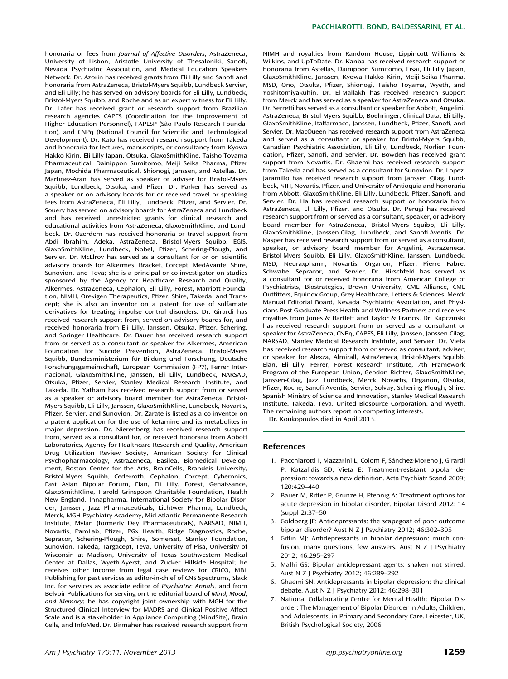honoraria or fees from Journal of Affective Disorders, AstraZeneca, University of Lisbon, Aristotle University of Thesaloniki, Sanofi, Nevada Psychiatric Association, and Medical Education Speakers Network. Dr. Azorin has received grants from Eli Lilly and Sanofi and honoraria from AstraZeneca, Bristol-Myers Squibb, Lundbeck Servier, and Eli Lilly; he has served on advisory boards for Eli Lilly, Lundbeck, Bristol-Myers Squibb, and Roche and as an expert witness for Eli Lilly. Dr. Lafer has received grant or research support from Brazilian research agencies CAPES (Coordination for the Improvement of Higher Education Personnel), FAPESP (São Paulo Research Foundation), and CNPq (National Council for Scientific and Technological Development). Dr. Kato has received research support from Takeda and honoraria for lectures, manuscripts, or consultancy from Kyowa Hakko Kirin, Eli Lilly Japan, Otsuka, GlaxoSmithKline, Taisho Toyama Pharmaceutical, Dainippon Sumitomo, Meiji Seika Pharma, Pfizer Japan, Mochida Pharmaceutical, Shionogi, Janssen, and Astellas. Dr. Martinez-Aran has served as speaker or adviser for Bristol-Myers Squibb, Lundbeck, Otsuka, and Pfizer. Dr. Parker has served as a speaker or on advisory boards for or received travel or speaking fees from AstraZeneca, Eli Lilly, Lundbeck, Pfizer, and Servier. Dr. Souery has served on advisory boards for AstraZeneca and Lundbeck and has received unrestricted grants for clinical research and educational activities from AstraZeneca, GlaxoSmithKline, and Lundbeck. Dr. Ozerdem has received honoraria or travel support from Abdi Ibrahim, Adeka, AstraZeneca, Bristol-Myers Squibb, EGIS, GlaxoSmithKline, Lundbeck, Nobel, Pfizer, Schering-Plough, and Servier. Dr. McElroy has served as a consultant for or on scientific advisory boards for Alkermes, Bracket, Corcept, MedAvante, Shire, Sunovion, and Teva; she is a principal or co-investigator on studies sponsored by the Agency for Healthcare Research and Quality, Alkermes, AstraZeneca, Cephalon, Eli Lilly, Forest, Marriott Foundation, NIMH, Orexigen Therapeutics, Pfizer, Shire, Takeda, and Transcept; she is also an inventor on a patent for use of sulfamate derivatives for treating impulse control disorders. Dr. Girardi has received research support from, served on advisory boards for, and received honoraria from Eli Lilly, Janssen, Otsuka, Pfizer, Schering, and Springer Healthcare. Dr. Bauer has received research support from or served as a consultant or speaker for Alkermes, American Foundation for Suicide Prevention, AstraZeneca, Bristol-Myers Squibb, Bundesministerium für Bildung und Forschung, Deutsche Forschungsgemeinschaft, European Commission (FP7), Ferrer Internacional, GlaxoSmithKline, Janssen, Eli Lilly, Lundbeck, NARSAD, Otsuka, Pfizer, Servier, Stanley Medical Research Institute, and Takeda. Dr. Yatham has received research support from or served as a speaker or advisory board member for AstraZeneca, Bristol-Myers Squibb, Eli Lilly, Janssen, GlaxoSmithKline, Lundbeck, Novartis, Pfizer, Servier, and Sunovion. Dr. Zarate is listed as a co-inventor on a patent application for the use of ketamine and its metabolites in major depression. Dr. Nierenberg has received research support from, served as a consultant for, or received honoraria from Abbott Laboratories, Agency for Healthcare Research and Quality, American Drug Utilization Review Society, American Society for Clinical Psychopharmacology, AstraZeneca, Basilea, Biomedical Development, Boston Center for the Arts, BrainCells, Brandeis University, Bristol-Myers Squibb, Cederroth, Cephalon, Corcept, Cyberonics, East Asian Bipolar Forum, Elan, Eli Lilly, Forest, Genaissance, GlaxoSmithKline, Harold Grinspoon Charitable Foundation, Health New England, Innapharma, International Society for Bipolar Disorder, Janssen, Jazz Pharmaceuticals, Lichtwer Pharma, Lundbeck, Merck, MGH Psychiatry Academy, Mid-Atlantic Permanente Research Institute, Mylan (formerly Dey Pharmaceuticals), NARSAD, NIMH, Novartis, PamLab, Pfizer, PGx Health, Ridge Diagnostics, Roche, Sepracor, Schering-Plough, Shire, Somerset, Stanley Foundation, Sunovion, Takeda, Targacept, Teva, University of Pisa, University of Wisconsin at Madison, University of Texas Southwestern Medical Center at Dallas, Wyeth-Ayerst, and Zucker Hillside Hospital; he receives other income from legal case reviews for CRICO, MBL Publishing for past services as editor-in-chief of CNS Spectrums, Slack Inc. for services as associate editor of Psychiatric Annals, and from Belvoir Publications for serving on the editorial board of Mind, Mood, and Memory; he has copyright joint ownership with MGH for the Structured Clinical Interview for MADRS and Clinical Positive Affect Scale and is a stakeholder in Appliance Computing (MindSite), Brain Cells, and InfoMed. Dr. Birmaher has received research support from

NIMH and royalties from Random House, Lippincott Williams & Wilkins, and UpToDate. Dr. Kanba has received research support or honoraria from Astellas, Dainippon Sumitomo, Eisai, Eli Lilly Japan, GlaxoSmithKline, Janssen, Kyowa Hakko Kirin, Meiji Seika Pharma, MSD, Ono, Otsuka, Pfizer, Shionogi, Taisho Toyama, Wyeth, and Yoshitomiyakuhin. Dr. El-Mallakh has received research support from Merck and has served as a speaker for AstraZeneca and Otsuka. Dr. Serretti has served as a consultant or speaker for Abbott, Angelini, AstraZeneca, Bristol-Myers Squibb, Boehringer, Clinical Data, Eli Lilly, GlaxoSmithKline, Italfarmaco, Janssen, Lundbeck, Pfizer, Sanofi, and Servier. Dr. MacQueen has received research support from AstraZeneca and served as a consultant or speaker for Bristol-Myers Squibb, Canadian Psychiatric Association, Eli Lilly, Lundbeck, Norlien Foundation, Pfizer, Sanofi, and Servier. Dr. Bowden has received grant support from Novartis. Dr. Ghaemi has received research support from Takeda and has served as a consultant for Sunovion. Dr. Lopez-Jaramillo has received research support from Janssen Cilag, Lundbeck, NIH, Novartis, Pfizer, and University of Antioquia and honoraria from Abbott, GlaxoSmithKline, Eli Lilly, Lundbeck, Pfizer, Sanofi, and Servier. Dr. Ha has received research support or honoraria from AstraZeneca, Eli Lilly, Pfizer, and Otsuka. Dr. Perugi has received research support from or served as a consultant, speaker, or advisory board member for AstraZeneca, Bristol-Myers Squibb, Eli Lilly, GlaxoSmithKline, Janssen-Cilag, Lundbeck, and Sanofi-Aventis. Dr. Kasper has received research support from or served as a consultant, speaker, or advisory board member for Angelini, AstraZeneca, Bristol-Myers Squibb, Eli Lilly, GlaxoSmithKline, Janssen, Lundbeck, MSD, Neuraxpharm, Novartis, Organon, Pfizer, Pierre Fabre, Schwabe, Sepracor, and Servier. Dr. Hirschfeld has served as a consultant for or received honoraria from American College of Psychiatrists, Biostrategies, Brown University, CME Alliance, CME Outfitters, Equinox Group, Grey Healthcare, Letters & Sciences, Merck Manual Editorial Board, Nevada Psychiatric Association, and Physicians Post Graduate Press Health and Wellness Partners and receives royalties from Jones & Bartlett and Taylor & Francis. Dr. Kapczinski has received research support from or served as a consultant or speaker for AstraZeneca, CNPq, CAPES, Eli Lilly, Janssen, Janssen-Cilag, NARSAD, Stanley Medical Research Institute, and Servier. Dr. Vieta has received research support from or served as consultant, adviser, or speaker for Alexza, Almirall, AstraZeneca, Bristol-Myers Squibb, Elan, Eli Lilly, Ferrer, Forest Research Institute, 7th Framework Program of the European Union, Geodon Richter, GlaxoSmithKline, Janssen-Cilag, Jazz, Lundbeck, Merck, Novartis, Organon, Otsuka, Pfizer, Roche, Sanofi-Aventis, Servier, Solvay, Schering-Plough, Shire, Spanish Ministry of Science and Innovation, Stanley Medical Research Institute, Takeda, Teva, United Biosource Corporation, and Wyeth. The remaining authors report no competing interests.

Dr. Koukopoulos died in April 2013.

#### **References**

- 1. Pacchiarotti I, Mazzarini L, Colom F, Sánchez-Moreno J, Girardi P, Kotzalidis GD, Vieta E: Treatment-resistant bipolar depression: towards a new definition. Acta Psychiatr Scand 2009; 120:429–440
- 2. Bauer M, Ritter P, Grunze H, Pfennig A: Treatment options for acute depression in bipolar disorder. Bipolar Disord 2012; 14 (suppl 2):37–50
- 3. Goldberg JF: Antidepressants: the scapegoat of poor outcome bipolar disorder? Aust N Z J Psychiatry 2012; 46:302–305
- 4. Gitlin MJ: Antidepressants in bipolar depression: much confusion, many questions, few answers. Aust N Z J Psychiatry 2012; 46:295–297
- 5. Malhi GS: Bipolar antidepressant agents: shaken not stirred. Aust N Z J Psychiatry 2012; 46:289–292
- 6. Ghaemi SN: Antidepressants in bipolar depression: the clinical debate. Aust N Z J Psychiatry 2012; 46:298–301
- 7. National Collaborating Centre for Mental Health: Bipolar Disorder: The Management of Bipolar Disorder in Adults, Children, and Adolescents, in Primary and Secondary Care. Leicester, UK, British Psychological Society, 2006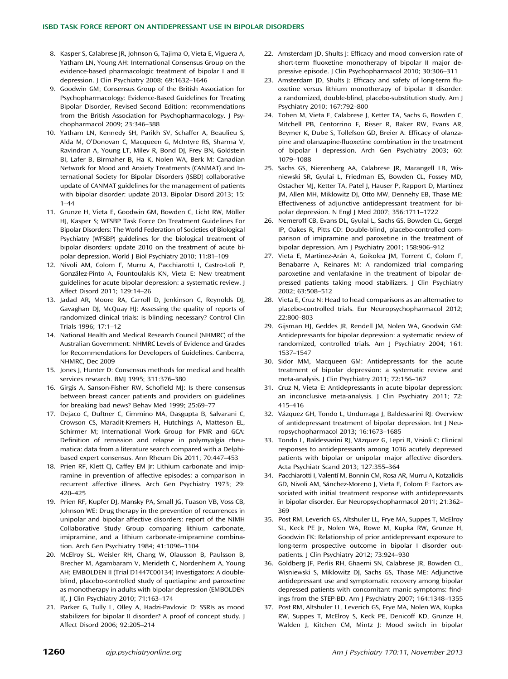- 8. Kasper S, Calabrese JR, Johnson G, Tajima O, Vieta E, Viguera A, Yatham LN, Young AH: International Consensus Group on the evidence-based pharmacologic treatment of bipolar I and II depression. J Clin Psychiatry 2008; 69:1632–1646
- 9. Goodwin GM; Consensus Group of the British Association for Psychopharmacology: Evidence-Based Guidelines for Treating Bipolar Disorder, Revised Second Edition: recommendations from the British Association for Psychopharmacology. J Psychopharmacol 2009; 23:346–388
- 10. Yatham LN, Kennedy SH, Parikh SV, Schaffer A, Beaulieu S, Alda M, O'Donovan C, Macqueen G, McIntyre RS, Sharma V, Ravindran A, Young LT, Milev R, Bond DJ, Frey BN, Goldstein BI, Lafer B, Birmaher B, Ha K, Nolen WA, Berk M: Canadian Network for Mood and Anxiety Treatments (CANMAT) and International Society for Bipolar Disorders (ISBD) collaborative update of CANMAT guidelines for the management of patients with bipolar disorder: update 2013. Bipolar Disord 2013; 15: 1–44
- 11. Grunze H, Vieta E, Goodwin GM, Bowden C, Licht RW, Möller HJ, Kasper S; WFSBP Task Force On Treatment Guidelines For Bipolar Disorders: The World Federation of Societies of Biological Psychiatry (WFSBP) guidelines for the biological treatment of bipolar disorders: update 2010 on the treatment of acute bipolar depression. World J Biol Psychiatry 2010; 11:81–109
- 12. Nivoli AM, Colom F, Murru A, Pacchiarotti I, Castro-Loli P, González-Pinto A, Fountoulakis KN, Vieta E: New treatment guidelines for acute bipolar depression: a systematic review. J Affect Disord 2011; 129:14–26
- 13. Jadad AR, Moore RA, Carroll D, Jenkinson C, Reynolds DJ, Gavaghan DJ, McQuay HJ: Assessing the quality of reports of randomized clinical trials: is blinding necessary? Control Clin Trials 1996; 17:1–12
- 14. National Health and Medical Research Council (NHMRC) of the Australian Government: NHMRC Levels of Evidence and Grades for Recommendations for Developers of Guidelines. Canberra, NHMRC, Dec 2009
- 15. Jones J, Hunter D: Consensus methods for medical and health services research. BMJ 1995; 311:376–380
- 16. Girgis A, Sanson-Fisher RW, Schofield MJ: Is there consensus between breast cancer patients and providers on guidelines for breaking bad news? Behav Med 1999; 25:69–77
- 17. Dejaco C, Duftner C, Cimmino MA, Dasgupta B, Salvarani C, Crowson CS, Maradit-Kremers H, Hutchings A, Matteson EL, Schirmer M; International Work Group for PMR and GCA: Definition of remission and relapse in polymyalgia rheumatica: data from a literature search compared with a Delphibased expert consensus. Ann Rheum Dis 2011; 70:447–453
- 18. Prien RF, Klett CJ, Caffey EM Jr: Lithium carbonate and imipramine in prevention of affective episodes: a comparison in recurrent affective illness. Arch Gen Psychiatry 1973; 29: 420–425
- 19. Prien RF, Kupfer DJ, Mansky PA, Small JG, Tuason VB, Voss CB, Johnson WE: Drug therapy in the prevention of recurrences in unipolar and bipolar affective disorders: report of the NIMH Collaborative Study Group comparing lithium carbonate, imipramine, and a lithium carbonate-imipramine combination. Arch Gen Psychiatry 1984; 41:1096–1104
- 20. McElroy SL, Weisler RH, Chang W, Olausson B, Paulsson B, Brecher M, Agambaram V, Merideth C, Nordenhem A, Young AH; EMBOLDEN II (Trial D1447C00134) Investigators: A doubleblind, placebo-controlled study of quetiapine and paroxetine as monotherapy in adults with bipolar depression (EMBOLDEN II). J Clin Psychiatry 2010; 71:163–174
- 21. Parker G, Tully L, Olley A, Hadzi-Pavlovic D: SSRIs as mood stabilizers for bipolar II disorder? A proof of concept study. J Affect Disord 2006; 92:205–214
- 22. Amsterdam JD, Shults J: Efficacy and mood conversion rate of short-term fluoxetine monotherapy of bipolar II major depressive episode. J Clin Psychopharmacol 2010; 30:306–311
- 23. Amsterdam JD, Shults J: Efficacy and safety of long-term fluoxetine versus lithium monotherapy of bipolar II disorder: a randomized, double-blind, placebo-substitution study. Am J Psychiatry 2010; 167:792–800
- 24. Tohen M, Vieta E, Calabrese J, Ketter TA, Sachs G, Bowden C, Mitchell PB, Centorrino F, Risser R, Baker RW, Evans AR, Beymer K, Dube S, Tollefson GD, Breier A: Efficacy of olanzapine and olanzapine-fluoxetine combination in the treatment of bipolar I depression. Arch Gen Psychiatry 2003; 60: 1079–1088
- 25. Sachs GS, Nierenberg AA, Calabrese JR, Marangell LB, Wisniewski SR, Gyulai L, Friedman ES, Bowden CL, Fossey MD, Ostacher MJ, Ketter TA, Patel J, Hauser P, Rapport D, Martinez JM, Allen MH, Miklowitz DJ, Otto MW, Dennehy EB, Thase ME: Effectiveness of adjunctive antidepressant treatment for bipolar depression. N Engl J Med 2007; 356:1711–1722
- 26. Nemeroff CB, Evans DL, Gyulai L, Sachs GS, Bowden CL, Gergel IP, Oakes R, Pitts CD: Double-blind, placebo-controlled comparison of imipramine and paroxetine in the treatment of bipolar depression. Am J Psychiatry 2001; 158:906–912
- 27. Vieta E, Martinez-Arán A, Goikolea JM, Torrent C, Colom F, Benabarre A, Reinares M: A randomized trial comparing paroxetine and venlafaxine in the treatment of bipolar depressed patients taking mood stabilizers. J Clin Psychiatry 2002; 63:508–512
- 28. Vieta E, Cruz N: Head to head comparisons as an alternative to placebo-controlled trials. Eur Neuropsychopharmacol 2012; 22:800–803
- 29. Gijsman HJ, Geddes JR, Rendell JM, Nolen WA, Goodwin GM: Antidepressants for bipolar depression: a systematic review of randomized, controlled trials. Am J Psychiatry 2004; 161: 1537–1547
- 30. Sidor MM, Macqueen GM: Antidepressants for the acute treatment of bipolar depression: a systematic review and meta-analysis. J Clin Psychiatry 2011; 72:156–167
- 31. Cruz N, Vieta E: Antidepressants in acute bipolar depression: an inconclusive meta-analysis. J Clin Psychiatry 2011; 72: 415–416
- 32. Vázquez GH, Tondo L, Undurraga J, Baldessarini RJ: Overview of antidepressant treatment of bipolar depression. Int J Neuropsychopharmacol 2013; 16:1673–1685
- 33. Tondo L, Baldessarini RJ, Vázquez G, Lepri B, Visioli C: Clinical responses to antidepressants among 1036 acutely depressed patients with bipolar or unipolar major affective disorders. Acta Psychiatr Scand 2013; 127:355–364
- 34. Pacchiarotti I, Valentí M, Bonnin CM, Rosa AR, Murru A, Kotzalidis GD, Nivoli AM, Sánchez-Moreno J, Vieta E, Colom F: Factors associated with initial treatment response with antidepressants in bipolar disorder. Eur Neuropsychopharmacol 2011; 21:362– 369
- 35. Post RM, Leverich GS, Altshuler LL, Frye MA, Suppes T, McElroy SL, Keck PE Jr, Nolen WA, Rowe M, Kupka RW, Grunze H, Goodwin FK: Relationship of prior antidepressant exposure to long-term prospective outcome in bipolar I disorder outpatients. J Clin Psychiatry 2012; 73:924–930
- 36. Goldberg JF, Perlis RH, Ghaemi SN, Calabrese JR, Bowden CL, Wisniewski S, Miklowitz DJ, Sachs GS, Thase ME: Adjunctive antidepressant use and symptomatic recovery among bipolar depressed patients with concomitant manic symptoms: findings from the STEP-BD. Am J Psychiatry 2007; 164:1348–1355
- 37. Post RM, Altshuler LL, Leverich GS, Frye MA, Nolen WA, Kupka RW, Suppes T, McElroy S, Keck PE, Denicoff KD, Grunze H, Walden J, Kitchen CM, Mintz J: Mood switch in bipolar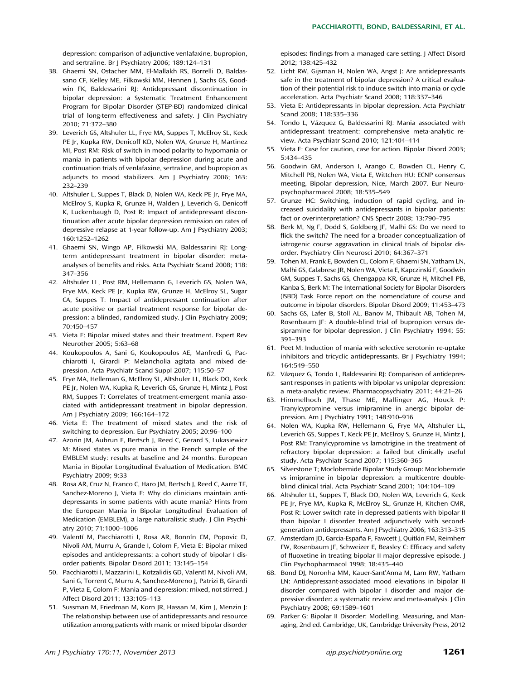depression: comparison of adjunctive venlafaxine, bupropion, and sertraline. Br J Psychiatry 2006; 189:124–131

- 38. Ghaemi SN, Ostacher MM, El-Mallakh RS, Borrelli D, Baldassano CF, Kelley ME, Filkowski MM, Hennen J, Sachs GS, Goodwin FK, Baldessarini RJ: Antidepressant discontinuation in bipolar depression: a Systematic Treatment Enhancement Program for Bipolar Disorder (STEP-BD) randomized clinical trial of long-term effectiveness and safety. J Clin Psychiatry 2010; 71:372–380
- 39. Leverich GS, Altshuler LL, Frye MA, Suppes T, McElroy SL, Keck PE Jr, Kupka RW, Denicoff KD, Nolen WA, Grunze H, Martinez MI, Post RM: Risk of switch in mood polarity to hypomania or mania in patients with bipolar depression during acute and continuation trials of venlafaxine, sertraline, and bupropion as adjuncts to mood stabilizers. Am J Psychiatry 2006; 163: 232–239
- 40. Altshuler L, Suppes T, Black D, Nolen WA, Keck PE Jr, Frye MA, McElroy S, Kupka R, Grunze H, Walden J, Leverich G, Denicoff K, Luckenbaugh D, Post R: Impact of antidepressant discontinuation after acute bipolar depression remission on rates of depressive relapse at 1-year follow-up. Am J Psychiatry 2003; 160:1252–1262
- 41. Ghaemi SN, Wingo AP, Filkowski MA, Baldessarini RJ: Longterm antidepressant treatment in bipolar disorder: metaanalyses of benefits and risks. Acta Psychiatr Scand 2008; 118: 347–356
- 42. Altshuler LL, Post RM, Hellemann G, Leverich GS, Nolen WA, Frye MA, Keck PE Jr, Kupka RW, Grunze H, McElroy SL, Sugar CA, Suppes T: Impact of antidepressant continuation after acute positive or partial treatment response for bipolar depression: a blinded, randomized study. J Clin Psychiatry 2009; 70:450–457
- 43. Vieta E: Bipolar mixed states and their treatment. Expert Rev Neurother 2005; 5:63–68
- 44. Koukopoulos A, Sani G, Koukopoulos AE, Manfredi G, Pacchiarotti I, Girardi P: Melancholia agitata and mixed depression. Acta Psychiatr Scand Suppl 2007; 115:50–57
- 45. Frye MA, Helleman G, McElroy SL, Altshuler LL, Black DO, Keck PE Jr, Nolen WA, Kupka R, Leverich GS, Grunze H, Mintz J, Post RM, Suppes T: Correlates of treatment-emergent mania associated with antidepressant treatment in bipolar depression. Am J Psychiatry 2009; 166:164–172
- 46. Vieta E: The treatment of mixed states and the risk of switching to depression. Eur Psychiatry 2005; 20:96–100
- 47. Azorin JM, Aubrun E, Bertsch J, Reed C, Gerard S, Lukasiewicz M: Mixed states vs pure mania in the French sample of the EMBLEM study: results at baseline and 24 months: European Mania in Bipolar Longitudinal Evaluation of Medication. BMC Psychiatry 2009; 9:33
- 48. Rosa AR, Cruz N, Franco C, Haro JM, Bertsch J, Reed C, Aarre TF, Sanchez-Moreno J, Vieta E: Why do clinicians maintain antidepressants in some patients with acute mania? Hints from the European Mania in Bipolar Longitudinal Evaluation of Medication (EMBLEM), a large naturalistic study. J Clin Psychiatry 2010; 71:1000–1006
- 49. Valentí M, Pacchiarotti I, Rosa AR, Bonnín CM, Popovic D, Nivoli AM, Murru A, Grande I, Colom F, Vieta E: Bipolar mixed episodes and antidepressants: a cohort study of bipolar I disorder patients. Bipolar Disord 2011; 13:145–154
- 50. Pacchiarotti I, Mazzarini L, Kotzalidis GD, Valentí M, Nivoli AM, Sani G, Torrent C, Murru A, Sanchez-Moreno J, Patrizi B, Girardi P, Vieta E, Colom F: Mania and depression: mixed, not stirred. J Affect Disord 2011; 133:105–113
- 51. Sussman M, Friedman M, Korn JR, Hassan M, Kim J, Menzin J: The relationship between use of antidepressants and resource utilization among patients with manic or mixed bipolar disorder

episodes: findings from a managed care setting. J Affect Disord 2012; 138:425–432

- 52. Licht RW, Gijsman H, Nolen WA, Angst J: Are antidepressants safe in the treatment of bipolar depression? A critical evaluation of their potential risk to induce switch into mania or cycle acceleration. Acta Psychiatr Scand 2008; 118:337–346
- 53. Vieta E: Antidepressants in bipolar depression. Acta Psychiatr Scand 2008; 118:335–336
- 54. Tondo L, Vázquez G, Baldessarini RJ: Mania associated with antidepressant treatment: comprehensive meta-analytic review. Acta Psychiatr Scand 2010; 121:404–414
- 55. Vieta E: Case for caution, case for action. Bipolar Disord 2003; 5:434–435
- 56. Goodwin GM, Anderson I, Arango C, Bowden CL, Henry C, Mitchell PB, Nolen WA, Vieta E, Wittchen HU: ECNP consensus meeting, Bipolar depression, Nice, March 2007. Eur Neuropsychopharmacol 2008; 18:535–549
- 57. Grunze HC: Switching, induction of rapid cycling, and increased suicidality with antidepressants in bipolar patients: fact or overinterpretation? CNS Spectr 2008; 13:790–795
- 58. Berk M, Ng F, Dodd S, Goldberg JF, Malhi GS: Do we need to flick the switch? The need for a broader conceptualization of iatrogenic course aggravation in clinical trials of bipolar disorder. Psychiatry Clin Neurosci 2010; 64:367–371
- 59. Tohen M, Frank E, Bowden CL, Colom F, Ghaemi SN, Yatham LN, Malhi GS, Calabrese JR, Nolen WA, Vieta E, Kapczinski F, Goodwin GM, Suppes T, Sachs GS, Chengappa KR, Grunze H, Mitchell PB, Kanba S, Berk M: The International Society for Bipolar Disorders (ISBD) Task Force report on the nomenclature of course and outcome in bipolar disorders. Bipolar Disord 2009; 11:453–473
- 60. Sachs GS, Lafer B, Stoll AL, Banov M, Thibault AB, Tohen M, Rosenbaum JF: A double-blind trial of bupropion versus desipramine for bipolar depression. J Clin Psychiatry 1994; 55: 391–393
- 61. Peet M: Induction of mania with selective serotonin re-uptake inhibitors and tricyclic antidepressants. Br J Psychiatry 1994; 164:549–550
- 62. Vázquez G, Tondo L, Baldessarini RJ: Comparison of antidepressant responses in patients with bipolar vs unipolar depression: a meta-analytic review. Pharmacopsychiatry 2011; 44:21–26
- 63. Himmelhoch JM, Thase ME, Mallinger AG, Houck P: Tranylcypromine versus imipramine in anergic bipolar depression. Am J Psychiatry 1991; 148:910–916
- 64. Nolen WA, Kupka RW, Hellemann G, Frye MA, Altshuler LL, Leverich GS, Suppes T, Keck PE Jr, McElroy S, Grunze H, Mintz J, Post RM: Tranylcypromine vs lamotrigine in the treatment of refractory bipolar depression: a failed but clinically useful study. Acta Psychiatr Scand 2007; 115:360–365
- 65. Silverstone T; Moclobemide Bipolar Study Group: Moclobemide vs imipramine in bipolar depression: a multicentre doubleblind clinical trial. Acta Psychiatr Scand 2001; 104:104–109
- 66. Altshuler LL, Suppes T, Black DO, Nolen WA, Leverich G, Keck PE Jr, Frye MA, Kupka R, McElroy SL, Grunze H, Kitchen CMR, Post R: Lower switch rate in depressed patients with bipolar II than bipolar I disorder treated adjunctively with secondgeneration antidepressants. Am J Psychiatry 2006; 163:313–315
- 67. Amsterdam JD, Garcia-España F, Fawcett J, Quitkin FM, Reimherr FW, Rosenbaum JF, Schweizer E, Beasley C: Efficacy and safety of fluoxetine in treating bipolar II major depressive episode. J Clin Psychopharmacol 1998; 18:435–440
- 68. Bond DJ, Noronha MM, Kauer-Sant'Anna M, Lam RW, Yatham LN: Antidepressant-associated mood elevations in bipolar II disorder compared with bipolar I disorder and major depressive disorder: a systematic review and meta-analysis. J Clin Psychiatry 2008; 69:1589–1601
- 69. Parker G: Bipolar II Disorder: Modelling, Measuring, and Managing, 2nd ed. Cambridge, UK, Cambridge University Press, 2012